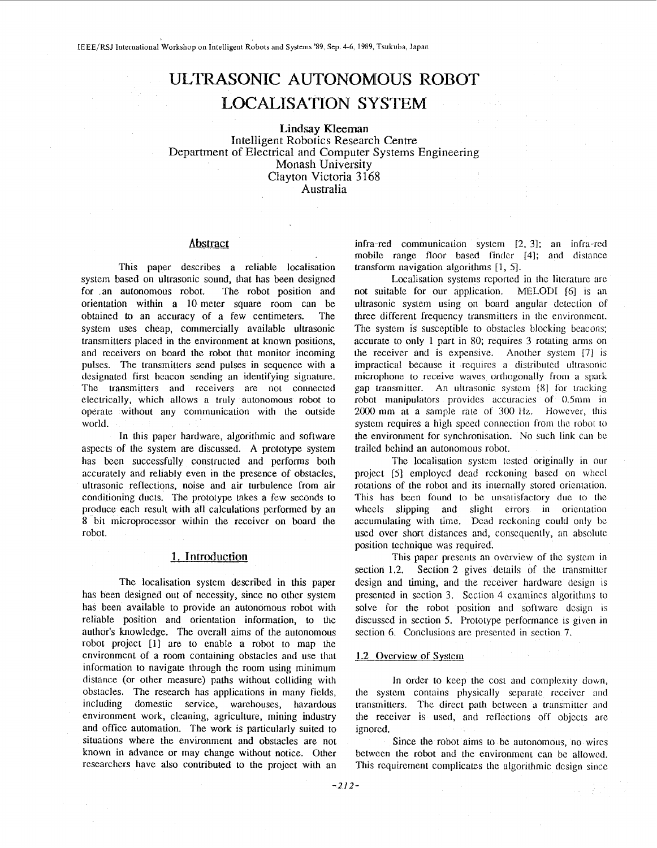# **ULTRASONIC AUTONOMOUS ROBOT LOCALISATION SYSTEM**

**Lindsay** Kleeman Intelligent Robotics Research Centre Department of Electrical and Computer Systems Engineering Monash University Clayton Victoria **3** 168 Australia

## **Abstract**

This paper describes a reliable localisation system based on ultrasonic sound, that has been designed for an autonomous robot. The robot position and orientation within **a** 10 meter square room can be obtained to an accuracy of a few centimeters. The system uses cheap, commercially available ultrasonic transmitters placed in the environment at known positions, and receivers on board the robot that monitor incoming pulses. The transmitters send pulses in sequence with a designated **first** beacon sending an identifying signature. The transmitters and receivers are not connected electrically, which allows a truly autonomous robot to operate without any communication with the outside world.

In this paper hardware, algorithmic and software aspects of 1he system are discussed. **A** prototype system has been successfully constructed and performs both accurately and reliably even in the presence of obstacles, ultrasonic reflections, noise and air turbulence from air conditioning ducts. The prototype takes a few scconds to produce each result with all calculations performed by an **8** hit microprocessor within the receiver on board the robot.

#### **1. Introduction**

The localisation system described in this paper has been designed out of necessity, since no other system has been available to provide an autonomous robot with reliable position and orientation information, to the aulhor's knowledge. The overall aims of the autonomous robot project **[l]** are to enable a robot to map the environment of a room containing obstacles and use that information to navigate through the room using minimum distance (or other measure) paths without colliding with obstacles. The research has applications in many fields, including domestic service, warehouses, hazardous environment work, cleaning, agriculture, mining industry and office automation. The work is particularly suited to situations where the environment and obstacles are not known in advance **or** may change wilhout notice. Other rcsearchers have also contributed to the project with an

infra-red communication system [2, 31; an infra-red mobile range floor based finder [4]; and distance transform navigation algorithms [ 1, **51.** 

Localisation systems reported in the literature are not suitable for our application. MELODI *[6]* is an ultrasonic system using on board angular detection of three different frequency transmitters **in** the environment. The system is susceptible to obstacles blocking beacons; accurate to only 1 part in 80; requires 3 rotating arms on the receiver and is expensive. Another system [7] is impractical because it requires a distributed ultrasonic microphone to receive waves orthogonally liom a **spark**  gap transmitter. An ultrasonic system [8] for tracking robot manipulators provides accuracies of **0.5mm in**  2000 mm at a sample rate of 300 **lfz.** However, this system requires a high speed connection from the robot to the environment for synchronisation. No such link can be trailed behind an autonomous robot.

The localisation system tested originally in our project [5] employed dead reckoning based on wheel rotations of the robot and its internally stored orientation. This has been found to be unsatisfactory due to the wheels slipping and slight errors in orientation accumulating with time. Dead reckoning could only be used over short distances and, conscqucntly, an absolute position technique was required.

This paper presents an overview of the system in section 1.2. Section 2 gives details of the transmitter design and timing, and the receiver hardware design is presented in section 3. Section 4 examines algorithms to solve for the robot position and software design is discussed in section 5. Prototype performance is given in section **6.** Conclusions are presented in section 7.

#### 1.2 Ovcrvicw of Systcm

In order to keep the cost and complexity down, the system contains physically separatc rccciver **arid**  transmitters. The direct path between a transmitter and the receiver is used, and reflections off objects arc ignored.

Since the robot aims to be autonomous, no wires between the robot and the environment can be allowed. This requirement complicates the algorithmic design since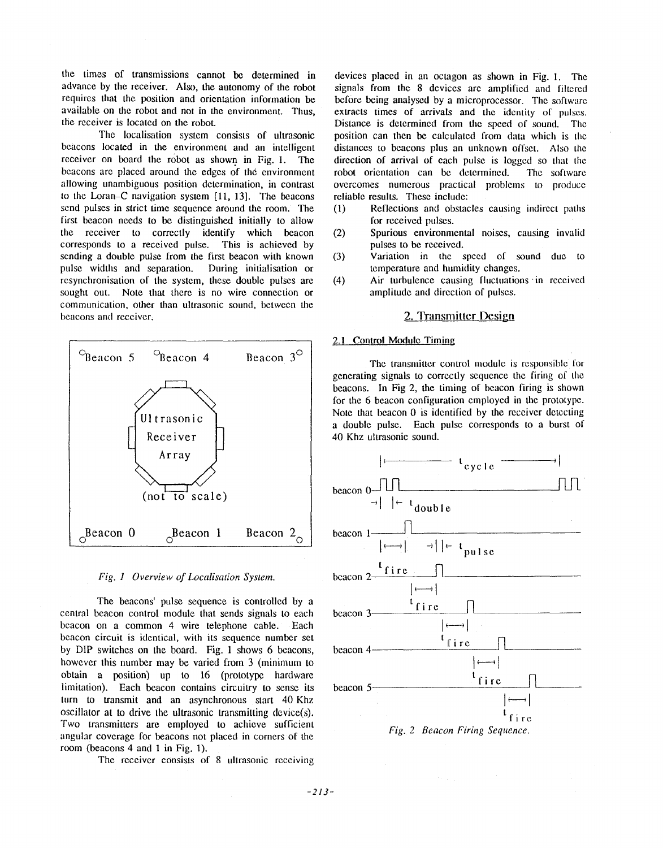the times of transmissions cannot be determined in advance by the receiver. Also, the autonomy of the robot requires that the position and orientation information be available on the robot and not in the environment. Thus, the rccciver is located on the robot.

The localisalion system consists of ultrasonic beacons located in the environment and an intelligent receiver on board the rdbot **as** shown in Fig. **1.** The beacons are placed around the edges of the environment allowing unambiguous position dctcrmination, in contrast **<sup>10</sup>**the Loran-C navigation system **[ll, 131.** The beacons send pulses in strict time sequence around the room. The first beacon needs to be distinguished initially to allow the receiver to correctly identify which beacon corresponds to a received **pulse.** This is achieved by scnding a double pulse from the first beacon with known pulse widths and separation. During initialisation or resynchronisation of the system, these double pulses are sought out. Note that there is no wire connection or communication, other than ultrasonic sound, bctwccn the bcacons and rccciver.





The beacons' pulse sequence is controlled by a central beacon control module that sends signals to each bcacon on a common 4 wire telephone cable. Each bcacon circuit is identical, with its sequence number set by DIP switches on the board. Fig. 1 shows 6 beacons, however this number may be varied from **3** (minimum to obtain a position) up to 16 (prototype hardware limitation). Each beacon contains circuitry to sense **its**  turn to transmit and an asynchronous start 40 Khz oscillalor at to **drive** the ultrasonic transmitting dcvice(s). Two transmitters are employed to achieve sufficient angular covcrage for beacons not placed in corners of the room (beacons **4** anti **1** in Fig. **1).** 

The receiver consists **of 8** ultrasonic rccciving

devices placed in an octagon as shown in Fig. 1. The signals from the 8 devices are amplified and filtered before being analysed by a microprocessor. The software extracts times of arrivals and the identity of pulses. Distance is determined from the speed of **sound.** The position can then be calculated from data which is the distances to beacons **plus** an unknown offsct. **Also** the direction of arrival of each pulse is logged so that the robot orientation can be determined. The software ovcrcomes numcrous practical problems to producc reliable results. These include:

- **(1)** Reflections and ol,)stacles causing indirect paihs for received pulses.
- (2) Spurious environmcntd noises, causing invalid **pulses** to be rcccivcd.
- **(3)** Variation in the spccd of sound due LO temperature and humidity changes.
- (4) Air turbulence causing fluctuations in received amplitude and direction of pulses.

## **2. Transmitter Design**

# 2.1 Control Module Timing

The transmitter control module is responsible for generating signals to corrcctly scqucnce the firing of the beacons. In Fig 2, the timing of beacon firing is shown for the **6** beacon configuration employed in **the** prototype. Note that beacon 0 is identified by the receiver detecting a double pulse. Each pulse corresponds to a burst of 40 Khz ultrasonic sound.

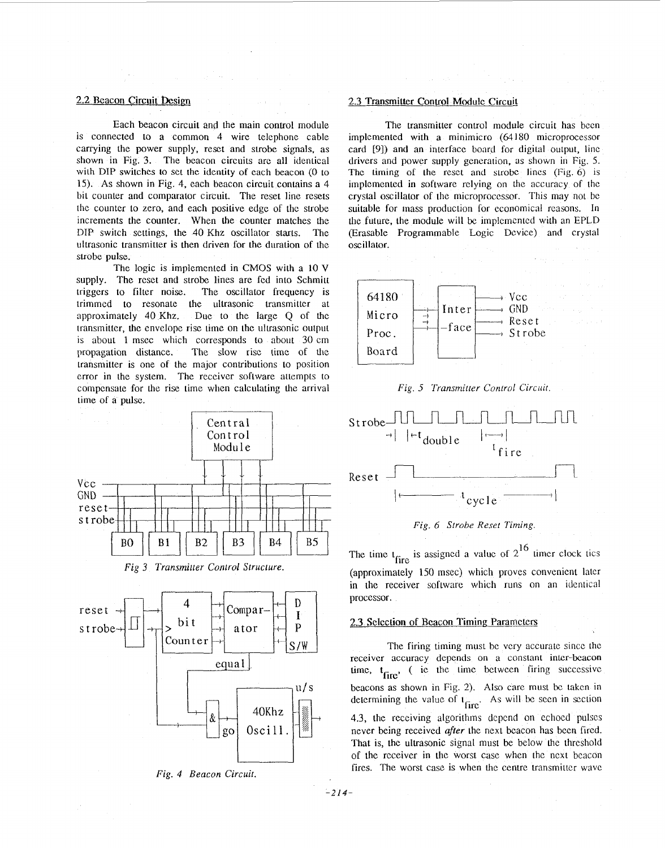# **2.2 Beacon Circuit Design**

Each beacon circuit and the main control module is connected to a common **4** wire telephone cable carrying the power supply, reset and strobe signals, as shown in Fig. **3.** The beacon circuits are all identical with DIP switches to set the identity of each beacon *(0* to 15). **As** shown in Fig. 4, each beacon circuit contains a 4 bit counter and comparator circuit. The reset line resets the counter to zero, and each positive edge of the strobe increments the counter. When the counter matches the DIP switch settings, the 40 Khz oscillator starts. The ultrasonic transmitter is then driven for **the** duration of the strobe pulse.

The logic is implemented in CMOS with a 10 V supply. The reset and strobe lines are fed into Schmitt triggers to filter noise. The oscillator frequency is trimmed to resonate the ultrasonic transmitter at approximately 40 Khz. Due to the large Q of the transmitter, the envelope rise time on the ultrasonic output is about 1 msec which corresponds to about 30 cm propagation distance. The slow risc lime of the transmitter is one of the major contributions to position error in the system. The receiver software attempts to compensate for the rise time when calculating he arrival time of a **pulse.** 









#### 2.3 Transmitter Control Module Circuit

The transmitter control module circuit has been implemented with a minimicro *(64* 180 microprocessor card [9]) and an interface board for digital output, line drivers and power supply generation, as shown in Fig. *5.*  The timing of the reset and strobe lines  $(Fig, 6)$  is implemented in software relying on the accuracy of the crystal oscillator of the microproccssor. This may not bc suitable for mass production for economical reasons. In the future, **the** module will be irnplcmcnted with an EPLD (Erasable Programmable Logic Device) and cryslal oscillator.









The time  $t_{\text{fire}}$  is assigned a value of  $2^{16}$  timer clock tics (approximately 150 msec) which proves convenient later in the receiver software which runs on an identical proccssor.

#### 2.3 Selection of Beacon Timing Parameters

The firing timing must be very accurate since the receiver accuracy depends on a constant inter-beacon time,  $t_{\text{fire}}$ , (ie the time between firing successive beacons as shown in Fig. 2). Also care must **bc** taken in determining the value of  $t_{\text{fire}}$ . As will be seen in section **4.3,** the receiving algorithms dcpcnd on echoed pulses never being received *after* the next beacon has been fired. That is, the ultrasonic signal must be below lhe thrcshold of the receiver in the worst case when the ncxt beacon fires. The worst case is when the centre transmitter wave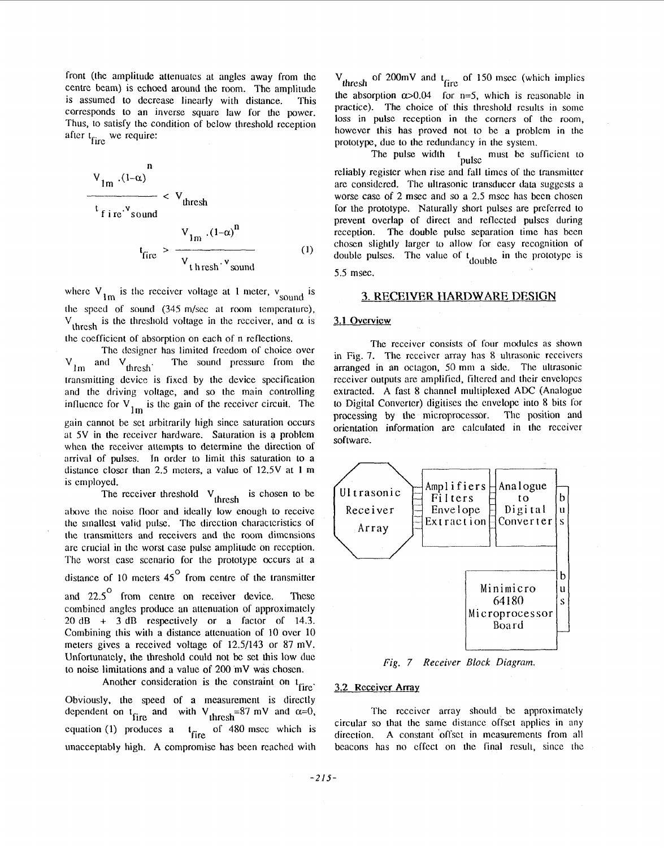front (thc amplitude attenuatcs at anglcs away from thc centre beam) is echoed around the room. The amplitude is assumed to dccreasc linearly with distance. This corresponds to an inverse square law for the power. Thus, to satisfy the condition of bclow threshold reception after  $t_{\text{fire}}$  we require:

$$
V_{1m} (1-\alpha)
$$
\n
$$
V_{1m} (1-\alpha)
$$
\n
$$
V_{1m} (1-\alpha)^{n}
$$
\n
$$
V_{1m} (1-\alpha)^{n}
$$
\n
$$
V_{1m} (1-\alpha)^{n}
$$
\n
$$
V_{1} + V_{1} (1-\alpha)^{n}
$$
\n(1)

where  $V_{lm}$  is the receiver voltage at 1 meter,  $v_{sound}$  is thc spccd of sound (345 m/sec **at room** tcmpcraturc),  $V_{\text{thresh}}$  is the threshold voltage in the receiver, and  $\alpha$  is the cocfficicnt of absorption on each of n rcflcctions.

The designer has limited freedom of choice over  $V_{lm}$  and  $V_{thresh}$ . The sound pressure from the The sound pressure from the transmitting dcvice is fixed by the dcvicc spccification and the driving voltage, and so the main controlling influence for  $V_{lm}$  is the gain of the receiver circuit. The gain cannot be set arbitrarily high sincc saturation occurs at 5V in the receiver hardware. Saturation is a problem when **the** receiver attempts to determine the direction of arrival of pulses. In order to limit this saturation to a distance closer than 2.5 meters, a value of 12.5V at 1 m is employed.

The receiver threshold  $V_{thresh}$  is chosen to be above the noise floor and ideally low enough to receive thc sinallcst valid **pulse.** Thc tlircction charactcristics **of**  the transmitters and receivers and the room dimensions are crucial in the worst case pulse amplitude on reception. The worst casc scenario for **the** prototype occurs at a distance of 10 meters  $45^{\circ}$  from centre of the transmitter and 22.5<sup>°</sup> from centre on receiver device. These combined angles produce an attenuation of approximately 20 dR + **3** dB rcspcctivcly or a factor of 14.3. Combining this with a distance attcnuation of **10** ovcr 10 meters gives a received voltage of 12.5/143 or 87 mV. Unfortunatcly, the threshold could not **be** sct this low due to noise limitations and a value of 200 mV was choscn.

Another consideration is the constraint on t<sub>fire</sub>. Obviously, the speed of a measurcmcnt is directly dependent on t<sub>fire</sub> and with V<sub>thresh</sub>=87 mV and  $\alpha$ =0, equation (1) produces a  $t_{\text{fire}}$  of 480 msec which is imacceptably high. **A** compromisc has bcen reachcd with

 $V_{\text{thresh}}$  of 200mV and  $t_{\text{fire}}$  of 150 msec (which implies the absorption  $\alpha > 0.04$  for n=5, which is reasonable in practice). The choice of this **threshold** results in some loss in **pulse** reception in the corncrs of thc room, however this has proved not to be a problem in the prototype, due to the redundancy in the system.<br>The pulse width  $t_{\text{mula}}$  must be sum

The pulse width  $t_{\text{pulse}}$  must be sufficient to reliably register when rise and fall times of the transmitter are considered. The ultrasonic transducer data suggests a worse case of 2 msec and so a 2.5 msec has been chosen for the prototype. Naturally short pulses arc prcfcrrcd to prevent overlap of direct and rcflccted pulses during reception. The double pulse separation time has been choscn slightly larger **lo** allow **for** easy recognition of double pulses. The value of  $t_{double}$  in the prototype is

*5.5* msec.

## *3.* **RECEIVER HARDWARE DESIGN**

## **3.1** Overview

The receiver consists of four modules as shown in Fig. 7. The receiver array has 8 ultrasonic receivers arranged in an octagon, 50 mm a side. The ultrasonic receiver outputs are amplified, filtered and their envelopes extracted. A fast 8 channel multiplexed ADC (Analogue to Digital Converter) digitises the envelope into 8 bits for processing by the microprocessor. The position and orientation information are calculated in the receiver software.



*Fig. 7 Receiver Block Dingmm.* 

#### **3.2 Rcceivcr Array**

The receiver array should be approximately circular so that the samc distancc offsct applics in any direction. A constant offset in measurements from all beacons has no effect on the final result, since the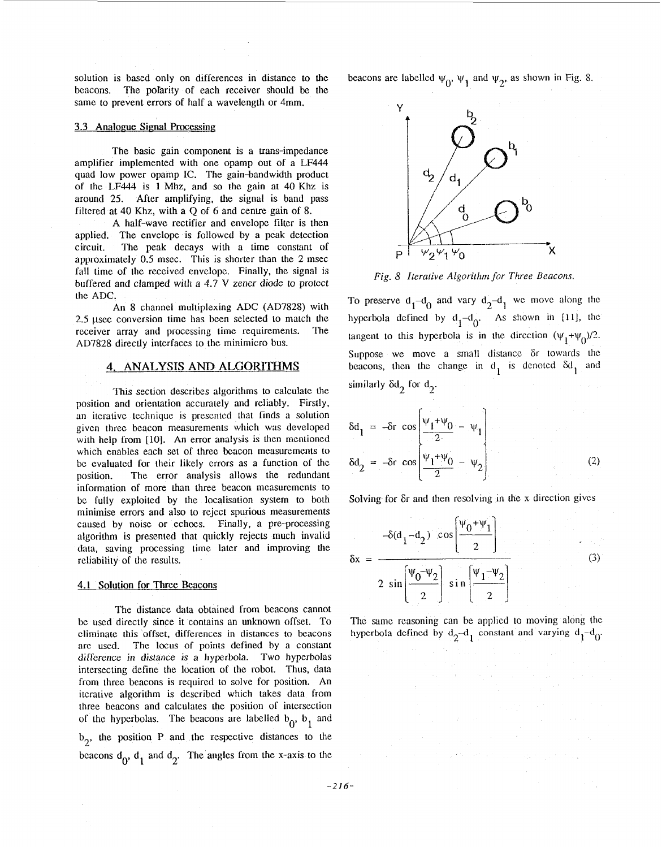solution is based only on differences in distance to the beacons. The pol'arity of each receiver should be the same to prevent errors of half a wavelength or 4mm.

#### **3.3 Analogue Signal Processing**

The basic gain component is a trans-impedance amplifier implemented with one opamp out of **a** LF444 quad low power opamp IC. The gain-bandwidth product of the LF444 is **1** Mhz, and so the gain at 40 Khz is around 25. After amplifying, the signal is band pass filtered at 40 Khz, with a Q ol **6** and centre **gain** of **8.** 

A half-wave rectifier and envelope filter is then applied. The envelope is followed by a peak detection circuit. The peak decays with a time constant of approximately 0.5 msec. This is shorter than the 2 msec fall time of the received envelope. Finally, the signal is buffered and clamped with a 4.7 V *zener* diode to protect the ADC.

An **8** channel multiplexing ADC (AD7828) with 2.5 usec conversion time has been selected to match the receiver array and processing time requirements. The AD7828 directly interfaces to the minimicro bus.

# **4. ANALYSIS ANI) ALGORITHMS**

This section describes algorithms to calculate the position and orientation accurately and reliably. Firstly, an iterative technique is prescntcd that finds a solution given three beacon measurements which was developed with help from [10]. An error analysis is then mentioned which enables each set of three beacon measurements to be evaluated for their likely crrors as **a** function of the position. The error analysis allows the redundant information of more than three beacon measurements to be fully exploited by the localisation system **to** both minimise errors and also to rejcct spurious measurements caused by noise or echoes. Finally, a pre-processing algorithm is presented that quickly rejects much invalid data, saving processing time later and improving the reliability of the results.

## **4.1** Solution **for** Three Beacons

The distance **data** obtained from beacons cannot be used directly since it contains an unknown offset. To eliminate this offset, dirferences in distances to beacons are used. The locus of points defined by a constant *difference in distance is a* hyperbola. Two hyperbolas intersecting define the location of the robot. Thus, data from three beacons is required to solve for position. An iterative algorithm is described which takes data from three beacons and calculates the position of intcrscction of the hyperbolas. The beacons are labelled  $b_0$ ,  $b_1$  and  $b_2$ , the position P and the respective distances to the beacons  $d_0$ ,  $d_1$  and  $d_2$ . The angles from the x-axis to the beacons are labelled  $\psi_0$ ,  $\psi_1$  and  $\psi_2$ , as shown in Fig. 8.



*Fig. 8 Iterative Algorithm for Three Beacons.* 

To preserve  $d_1 - d_0$  and vary  $d_2 - d_1$  we move along the hyperbola defined by  $d_1 - d_0$ . As shown in [11], the tangent to this hyperbola is in the direction  $(\psi_1 + \psi_0)/2$ . Suppose we move a small distance or towards the beacons, then the change in  $d_1$  is denoted  $\delta d_1$  and similarly  $\delta d_2$  for  $d_2$ .

$$
\delta d_1 = -\delta r \cos \left[ \frac{\Psi_1 + \Psi_0}{2} - \Psi_1 \right]
$$
  

$$
\delta d_2 = -\delta r \cos \left[ \frac{\Psi_1 + \Psi_0}{2} - \Psi_2 \right]
$$
 (2)

Solving for 6r and then resolving in the **x** direction givcs

Solving for 
$$
\delta r
$$
 and then resolving in the x direction gives  
\n
$$
-\delta(d_1 - d_2) \cos\left(\frac{\psi_0 + \psi_1}{2}\right)
$$
\n
$$
\delta x = \frac{1}{2 \sin\left(\frac{\psi_0 - \psi_2}{2}\right) \sin\left(\frac{\psi_1 - \psi_2}{2}\right)}
$$
\n(3)

The same reasoning can be applied to moving along thc hyperbola defined by  $d_2 - d_1$  constant and varying  $d_1 - d_0$ .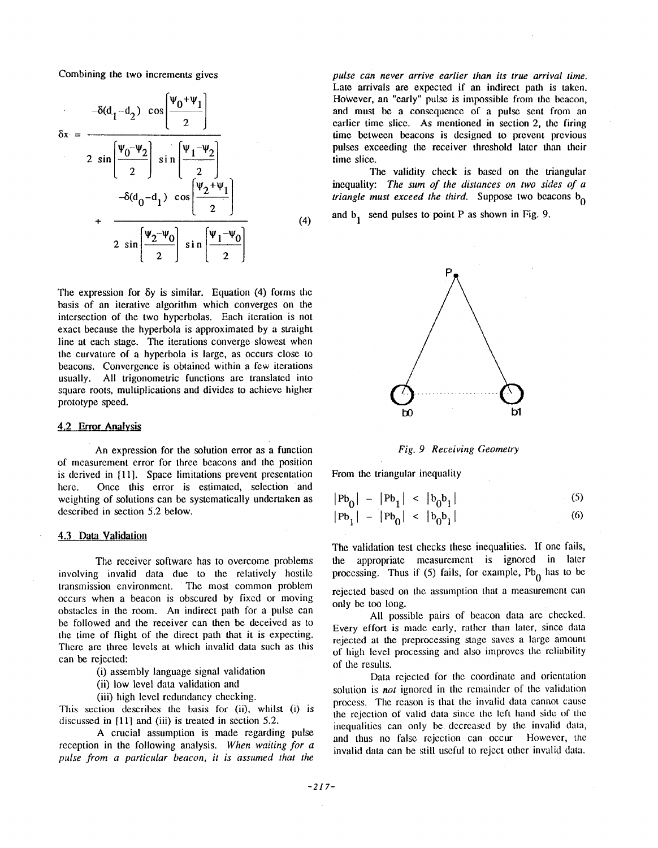Combining the two increments gives

Combining the two increments gives  
\n
$$
-\delta(d_1 - d_2) \cos\left(\frac{\Psi_0 + \Psi_1}{2}\right)
$$
\n
$$
\delta x = \frac{\Psi_0 - \Psi_2}{2 \sin\left(\frac{\Psi_0 - \Psi_2}{2}\right) \sin\left(\frac{\Psi_1 - \Psi_2}{2}\right)}
$$
\n
$$
-\delta(d_0 - d_1) \cos\left(\frac{\Psi_2 + \Psi_1}{2}\right)
$$
\n
$$
+\frac{\delta(d_0 - d_1) \cos\left(\frac{\Psi_2 - \Psi_0}{2}\right)}{2 \sin\left(\frac{\Psi_2 - \Psi_0}{2}\right) \sin\left(\frac{\Psi_1 - \Psi_0}{2}\right)}
$$
\n(4)

The expression for  $\delta y$  is similar. Equation  $(4)$  forms the basis of an iterative algorithm which converges on the intersection of the two hyperbolas. Each iteration is not exact because the hyperbola is approximated by a straight line at each stage. The iterations converge slowest when the curvature of a hyperbola is large, as occurs close to beacons. Convergence is obtained within a few iterations usually. All trigonometric functions are translated into square **roots,** multiplications and divides to achieve higher prototype speed.

#### 4.2 **Emr Analysis**

An expression for the solution error as **a** function of measurement error for three beacons and the position is derived in [ll]. Space limitations prevent presentation here. Once this error is estimated, selection and weighting of solutions can be systematically undertaken as described in section 5.2 below.

#### **4.3 Data Validation**

The receiver software has to overcome problems involving invalid data due to the relatively hostile transmission environment. The most common problem occurs when a beacon is obscured by fixcd or moving obstacles in the room. An indirect path for a pulse can be followed and the receiver can then be deceived as to the time **of** flight of the direct path that it **is** expecting. There are three levels at which invalid data such as this can be rejected:

- (i) assembly language signal validation
- (ii) low level data validation and
- (iii) high level redundancy checking.

This section describes thc basis **for** (ii), whilst (i) is discussed in [11] and (iii) **is** treated in section 5.2.

A crucial assumption is made regarding pulse reception in the following analysis. *When waiting for a pulse from a particular Deacon, it is assumed that the* 

*pulse can never arrive earlier than its true arrival time.*  Late arrivals are expected if an indirect path is taken. However, an "early" pulse **is** impossible from the beacon, and must be a consequeince **of** a pulse sent from an earlier time slice. **As** mentioned in section *2,* the firing time between beacons is designed **to** prevent previous pulses exceeding the receiver threshold later than their time slice.

The validity check is based on the triangular inequality: The sum of the distances on two sides of a *triangle must exceed the third.* Suppose two beacons  $b_0$ 

and  $b_1$  send pulses to point P as shown in Fig. 9.





From the triangular inequality

$$
|Pb_0| - |Pb_1| < |b_0b_1|
$$
\n
$$
|Pb_1| - |Pb_0| < |b_0b_1|
$$
\n(5)

The validation test checks these inequalities. **If** one fails, the appropriate measurement is ignored in later processing. Thus if (5) fails, for example, Pb<sub>0</sub> has to be rejected based on Ihe assumption that a measurement can

only be too long.

**All** possible pairs of beacon data arc checked. Every effort is made early, rathcr than later, since **data**  rejected at the preprocessing stage saves a large amount of high level processing **anti** also improves Ihe rcliabiliiy of the results.

Data rejected for the coordinate and oricntation solution is *not* ignored in the remainder of the validation process. The reason is that the invalid data cannot cause the rejection of valid **data** sincc **the left** hand sick of the inequalities can only be decreased by the invalid data, and thus no **false** rejection can occur However, the invalid data can be still useful to reject other invalid data.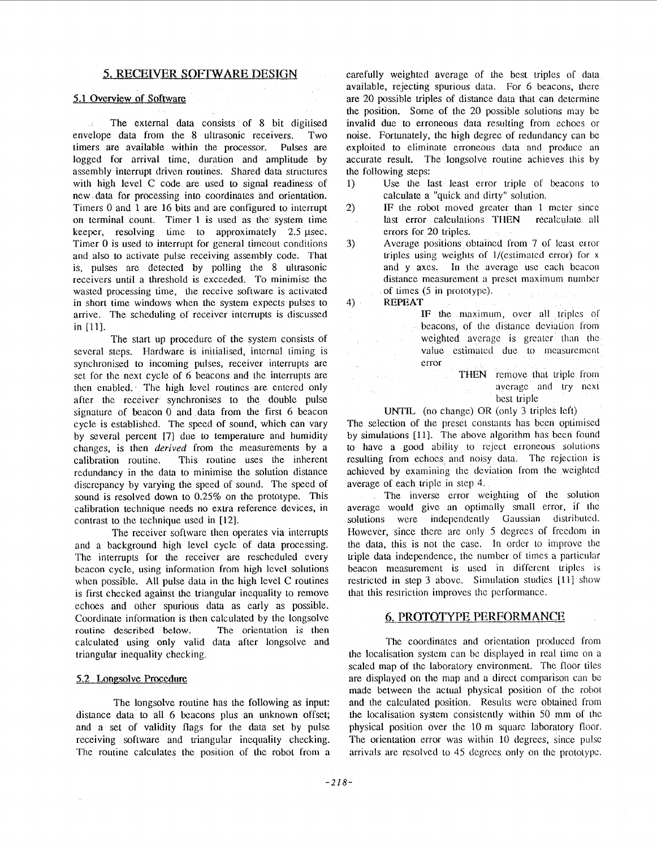## *5.* **RECEIVER SOFTWARE DESIGN**

#### **5.1** Overview of Softwarc

The extemal data consists of **8** bit digitised envelope data from the **8** ultrasonic receivers. Two timers are available within the processor. Pulses are logged for arrival time, duration and amplitude by assembly interrupt driven routines. Shared **data** structures with high level C code are used to signal readiness of new **data** for processing into coordinates and orientation. Timers 0 and 1 are **16** bits and are configured to interrupt on terminal count. Timer 1 is used as the system time keeper, resolving time to approximately  $2.5 \mu$ sec. Timer 0 is used to interrupt for general timeout conditions and also to activate pulse receiving assembly code. That is, pulses are detected by polling the 8 ultrasonic receivers until a threshold is exceeded. To minimise the wasted processing time, the receive software is activated in short time windows when the system expects pulses to arrive. The scheduling of receiver interrupts is discussed in [ll].

The start up procedure of the system consists of several steps. Hardware is initialised, internal timing is synchronised to incoming pulses, receiver interrupts are set for the next cycle of **6** beacons and the interrupts are then enabled. The high level routines are entered only after the receiver synchronises to the double pulse signature of beacon 0 and data from the first 6 beacon cycle is established. The speed of sound, which can vary by several percent [7] due to temperature and humidity changes, is then *derived* from the measurements by a calibration routine. This routine uses the inherent redundancy in the data to minimise the solution distance discrepancy **by** varying the speed of sound. The speed of sound is resolved down to **0.25%** on the prototype. This calibration technique needs no extra reference devices, in contrast to the technique used in **[12].** 

The receiver software then operates via interrupts and a background high level cycle of data processing. The interrupts for the receiver are rescheduled every beacon cycle, using information from high level solutions when possible. All pulse data in the high level **C** routines is first checked against the triangular inequality to remove echoes and other spurious data as early as possible. Coordinate information is then calculated by the longsolve routine described below. The orientation is then routine described below. calculated using only valid data after longsolve and triangular inequality checking.

#### 5.2 Longsolve Procedure

The longsolve routine has the following as input: distance data to all 6 beacons plus an unknown offset; and a set of validity flags for the data set by pulse receiving software and triangular inequality checking. The routine calculates the position of the robot from a carefully weighted average of the best triples of data available, rejecting spurious data. For 6 beacons, there are *20* possible triples of distance data that can determine the position. Some of the *20* possible solutions may be invalid due to erroneous data resulting from echoes or noise. Fortunately, the high degree of redundancy can be exploited to eliminate erroneous data and produce an accurate result. The longsolve routine achieves this by the following steps:

- 1) Use the last least error triple of beacons to calculate a "quick and dirty" solution.
- *2)* IF the robot moved greater than 1 meter since last error calculations **THEN** recalculate all errors for *20* triples.
- Average positions obtained from 7 of least crror triples using weights of  $1/(estimated error)$  for x and y axes. In the average use each beacon distance measurement a preset maximum number of times (5 in prototype). *3)*

**4) REPEAT** 

 $\sim$ 

 $\sim 10^6$ 

**IF** the maximum, over all triples of beacons, of the distance deviation from weighted average is greater than the value estimated due to measurement error

> THEN remove that triple from average and try next best triple

**UNTIL** (no change) OR (only 3 triples left)

The selection of the preset constants has becn optimiscd by simulations **[ll].** The above algorithm has becn found to have a good ability to reject erroneous solutions resulting from echoes and noisy data. The rejection is achieved by examining the deviation from the weighted average of each triple in step 4.

The inverse error weighting of the solution average would give an optimally small error, if the solutions were independently Gaussian distributed. However, since there are only 5 degrees of freedom in the data, this is not the case. In order to improve the triple data independence, the number of times a particular beacon measurement is used in different triples is restricted in step 3 above. Simulation studies [11] show that this restriction improvcs the performance.

# **6. PROTOTYPE PERFORMANCE**

The coordinates and orientation produced from the localisation system can be displayed in real time on a scaled map of the laboratory environment. The floor tilcs are displayed on the map and a direct comparison can be made between the actual physical position of the robot and the calculated position. Results were obtained from the localisation system consistcntly within *50* mm of the physical position over the 10 **in** square laboratory floor. The orientation error was within 10 degrees, since pulse arrivals arc resolved to 45 degrees only on the prototype.